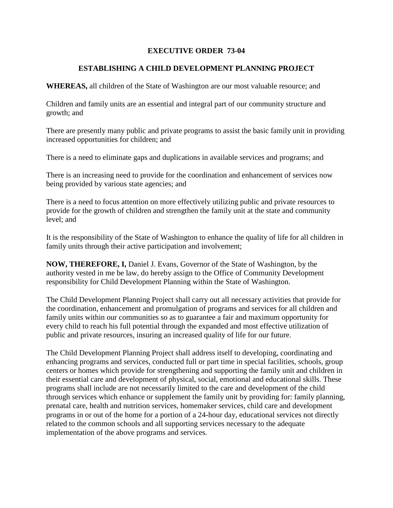## **EXECUTIVE ORDER 73-04**

## **ESTABLISHING A CHILD DEVELOPMENT PLANNING PROJECT**

**WHEREAS,** all children of the State of Washington are our most valuable resource; and

Children and family units are an essential and integral part of our community structure and growth; and

There are presently many public and private programs to assist the basic family unit in providing increased opportunities for children; and

There is a need to eliminate gaps and duplications in available services and programs; and

There is an increasing need to provide for the coordination and enhancement of services now being provided by various state agencies; and

There is a need to focus attention on more effectively utilizing public and private resources to provide for the growth of children and strengthen the family unit at the state and community level; and

It is the responsibility of the State of Washington to enhance the quality of life for all children in family units through their active participation and involvement;

**NOW, THEREFORE, I,** Daniel J. Evans, Governor of the State of Washington, by the authority vested in me be law, do hereby assign to the Office of Community Development responsibility for Child Development Planning within the State of Washington.

The Child Development Planning Project shall carry out all necessary activities that provide for the coordination, enhancement and promulgation of programs and services for all children and family units within our communities so as to guarantee a fair and maximum opportunity for every child to reach his full potential through the expanded and most effective utilization of public and private resources, insuring an increased quality of life for our future.

The Child Development Planning Project shall address itself to developing, coordinating and enhancing programs and services, conducted full or part time in special facilities, schools, group centers or homes which provide for strengthening and supporting the family unit and children in their essential care and development of physical, social, emotional and educational skills. These programs shall include are not necessarily limited to the care and development of the child through services which enhance or supplement the family unit by providing for: family planning, prenatal care, health and nutrition services, homemaker services, child care and development programs in or out of the home for a portion of a 24-hour day, educational services not directly related to the common schools and all supporting services necessary to the adequate implementation of the above programs and services.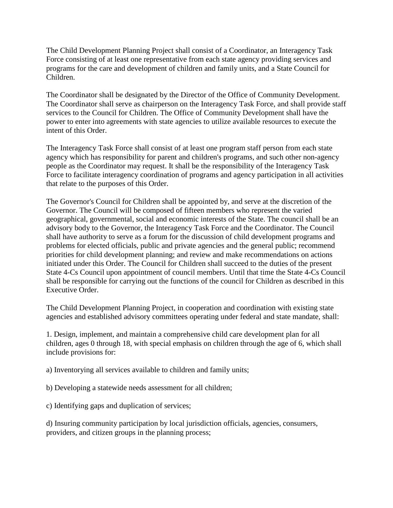The Child Development Planning Project shall consist of a Coordinator, an Interagency Task Force consisting of at least one representative from each state agency providing services and programs for the care and development of children and family units, and a State Council for Children.

The Coordinator shall be designated by the Director of the Office of Community Development. The Coordinator shall serve as chairperson on the Interagency Task Force, and shall provide staff services to the Council for Children. The Office of Community Development shall have the power to enter into agreements with state agencies to utilize available resources to execute the intent of this Order.

The Interagency Task Force shall consist of at least one program staff person from each state agency which has responsibility for parent and children's programs, and such other non-agency people as the Coordinator may request. It shall be the responsibility of the Interagency Task Force to facilitate interagency coordination of programs and agency participation in all activities that relate to the purposes of this Order.

The Governor's Council for Children shall be appointed by, and serve at the discretion of the Governor. The Council will be composed of fifteen members who represent the varied geographical, governmental, social and economic interests of the State. The council shall be an advisory body to the Governor, the Interagency Task Force and the Coordinator. The Council shall have authority to serve as a forum for the discussion of child development programs and problems for elected officials, public and private agencies and the general public; recommend priorities for child development planning; and review and make recommendations on actions initiated under this Order. The Council for Children shall succeed to the duties of the present State 4-Cs Council upon appointment of council members. Until that time the State 4-Cs Council shall be responsible for carrying out the functions of the council for Children as described in this Executive Order.

The Child Development Planning Project, in cooperation and coordination with existing state agencies and established advisory committees operating under federal and state mandate, shall:

1. Design, implement, and maintain a comprehensive child care development plan for all children, ages 0 through 18, with special emphasis on children through the age of 6, which shall include provisions for:

a) Inventorying all services available to children and family units;

b) Developing a statewide needs assessment for all children;

c) Identifying gaps and duplication of services;

d) Insuring community participation by local jurisdiction officials, agencies, consumers, providers, and citizen groups in the planning process;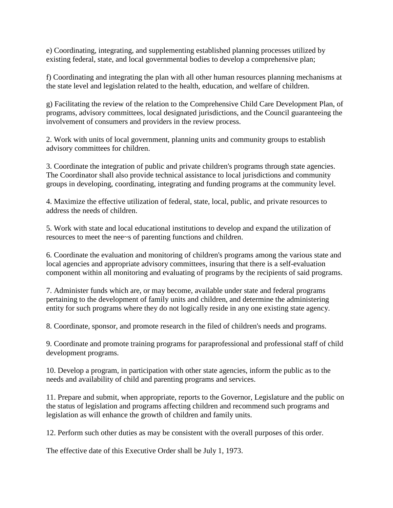e) Coordinating, integrating, and supplementing established planning processes utilized by existing federal, state, and local governmental bodies to develop a comprehensive plan;

f) Coordinating and integrating the plan with all other human resources planning mechanisms at the state level and legislation related to the health, education, and welfare of children.

g) Facilitating the review of the relation to the Comprehensive Child Care Development Plan, of programs, advisory committees, local designated jurisdictions, and the Council guaranteeing the involvement of consumers and providers in the review process.

2. Work with units of local government, planning units and community groups to establish advisory committees for children.

3. Coordinate the integration of public and private children's programs through state agencies. The Coordinator shall also provide technical assistance to local jurisdictions and community groups in developing, coordinating, integrating and funding programs at the community level.

4. Maximize the effective utilization of federal, state, local, public, and private resources to address the needs of children.

5. Work with state and local educational institutions to develop and expand the utilization of resources to meet the nee~s of parenting functions and children.

6. Coordinate the evaluation and monitoring of children's programs among the various state and local agencies and appropriate advisory committees, insuring that there is a self-evaluation component within all monitoring and evaluating of programs by the recipients of said programs.

7. Administer funds which are, or may become, available under state and federal programs pertaining to the development of family units and children, and determine the administering entity for such programs where they do not logically reside in any one existing state agency.

8. Coordinate, sponsor, and promote research in the filed of children's needs and programs.

9. Coordinate and promote training programs for paraprofessional and professional staff of child development programs.

10. Develop a program, in participation with other state agencies, inform the public as to the needs and availability of child and parenting programs and services.

11. Prepare and submit, when appropriate, reports to the Governor, Legislature and the public on the status of legislation and programs affecting children and recommend such programs and legislation as will enhance the growth of children and family units.

12. Perform such other duties as may be consistent with the overall purposes of this order.

The effective date of this Executive Order shall be July 1, 1973.